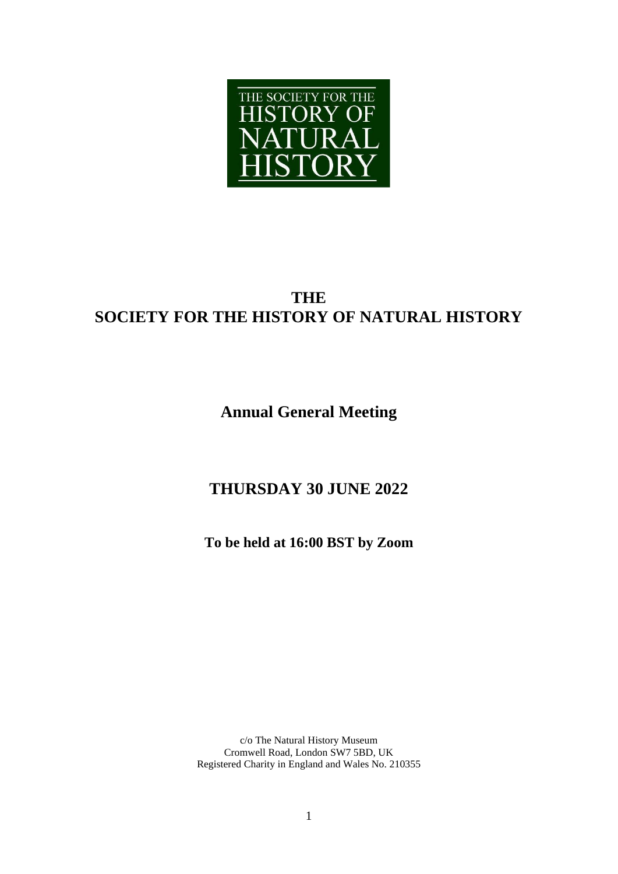

# **THE SOCIETY FOR THE HISTORY OF NATURAL HISTORY**

# **Annual General Meeting**

# **THURSDAY 30 JUNE 2022**

**To be held at 16:00 BST by Zoom**

c/o The Natural History Museum Cromwell Road, London SW7 5BD, UK Registered Charity in England and Wales No. 210355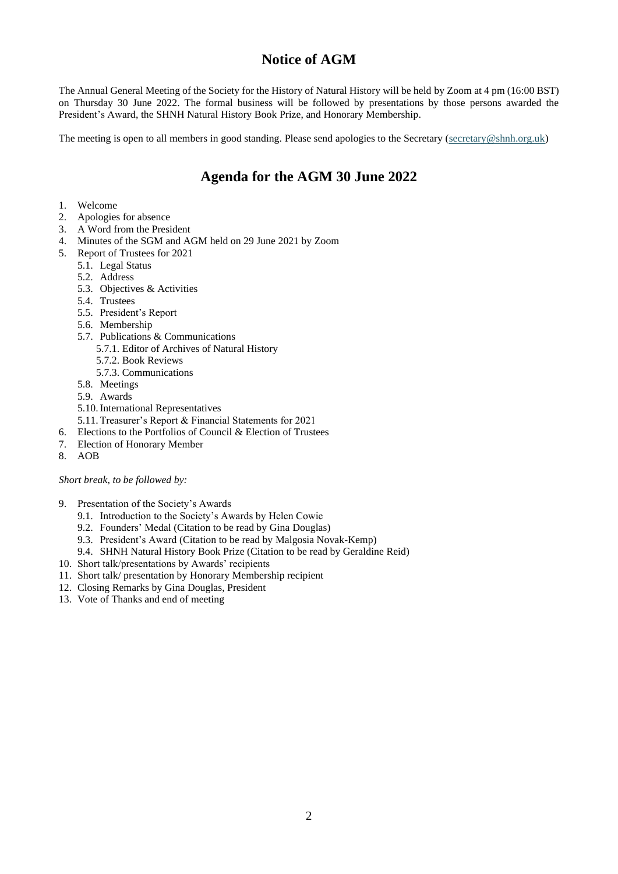## **Notice of AGM**

The Annual General Meeting of the Society for the History of Natural History will be held by Zoom at 4 pm (16:00 BST) on Thursday 30 June 2022. The formal business will be followed by presentations by those persons awarded the President's Award, the SHNH Natural History Book Prize, and Honorary Membership.

The meeting is open to all members in good standing. Please send apologies to the Secretary [\(secretary@shnh.org.uk\)](mailto:secretary@shnh.org.uk)

## **Agenda for the AGM 30 June 2022**

- 1. Welcome
- 2. Apologies for absence
- 3. A Word from the President
- 4. Minutes of the SGM and AGM held on 29 June 2021 by Zoom
- 5. Report of Trustees for 2021
	- 5.1. Legal Status
		- 5.2. Address
		- 5.3. Objectives & Activities
		- 5.4. Trustees
		- 5.5. President's Report
		- 5.6. Membership
		- 5.7. Publications & Communications
			- 5.7.1. Editor of Archives of Natural History
			- 5.7.2. Book Reviews
			- 5.7.3. Communications
		- 5.8. Meetings
		- 5.9. Awards
		- 5.10.International Representatives
		- 5.11.Treasurer's Report & Financial Statements for 2021
- 6. Elections to the Portfolios of Council & Election of Trustees
- 7. Election of Honorary Member
- 8. AOB

*Short break, to be followed by:*

- 9. Presentation of the Society's Awards
	- 9.1. Introduction to the Society's Awards by Helen Cowie
	- 9.2. Founders' Medal (Citation to be read by Gina Douglas)
	- 9.3. President's Award (Citation to be read by Malgosia Novak-Kemp)
	- 9.4. SHNH Natural History Book Prize (Citation to be read by Geraldine Reid)
- 10. Short talk/presentations by Awards' recipients
- 11. Short talk/ presentation by Honorary Membership recipient
- 12. Closing Remarks by Gina Douglas, President
- 13. Vote of Thanks and end of meeting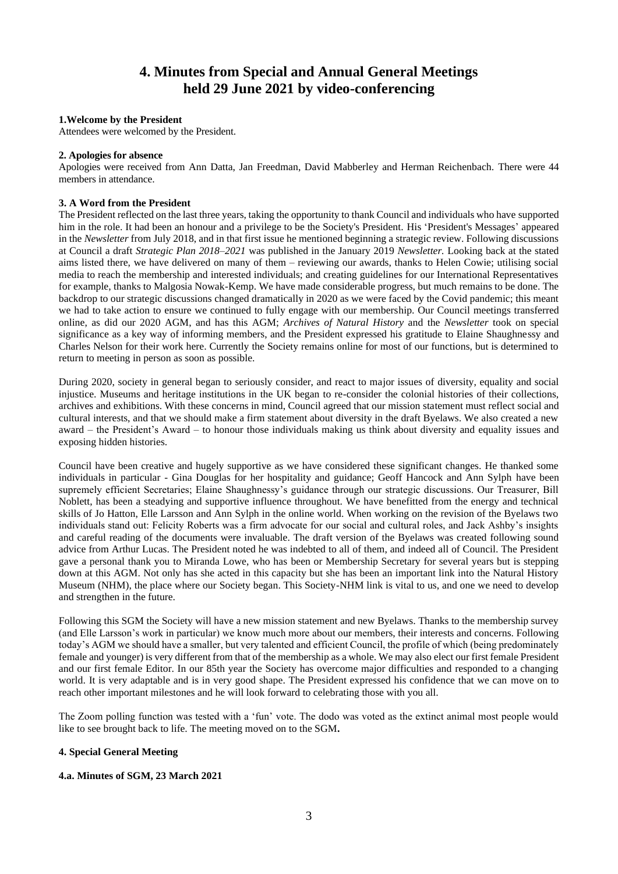## **4. Minutes from Special and Annual General Meetings held 29 June 2021 by video-conferencing**

#### **1.Welcome by the President**

Attendees were welcomed by the President.

#### **2. Apologies for absence**

Apologies were received from Ann Datta, Jan Freedman, David Mabberley and Herman Reichenbach. There were 44 members in attendance.

#### **3. A Word from the President**

The President reflected on the last three years, taking the opportunity to thank Council and individuals who have supported him in the role. It had been an honour and a privilege to be the Society's President. His 'President's Messages' appeared in the *Newsletter* from July 2018, and in that first issue he mentioned beginning a strategic review. Following discussions at Council a draft *Strategic Plan 2018–2021* was published in the January 2019 *Newsletter.* Looking back at the stated aims listed there, we have delivered on many of them – reviewing our awards, thanks to Helen Cowie; utilising social media to reach the membership and interested individuals; and creating guidelines for our International Representatives for example, thanks to Malgosia Nowak-Kemp. We have made considerable progress, but much remains to be done. The backdrop to our strategic discussions changed dramatically in 2020 as we were faced by the Covid pandemic; this meant we had to take action to ensure we continued to fully engage with our membership. Our Council meetings transferred online, as did our 2020 AGM, and has this AGM; *Archives of Natural History* and the *Newsletter* took on special significance as a key way of informing members, and the President expressed his gratitude to Elaine Shaughnessy and Charles Nelson for their work here. Currently the Society remains online for most of our functions, but is determined to return to meeting in person as soon as possible.

During 2020, society in general began to seriously consider, and react to major issues of diversity, equality and social injustice. Museums and heritage institutions in the UK began to re-consider the colonial histories of their collections, archives and exhibitions. With these concerns in mind, Council agreed that our mission statement must reflect social and cultural interests, and that we should make a firm statement about diversity in the draft Byelaws. We also created a new award – the President's Award – to honour those individuals making us think about diversity and equality issues and exposing hidden histories.

Council have been creative and hugely supportive as we have considered these significant changes. He thanked some individuals in particular - Gina Douglas for her hospitality and guidance; Geoff Hancock and Ann Sylph have been supremely efficient Secretaries; Elaine Shaughnessy's guidance through our strategic discussions. Our Treasurer, Bill Noblett, has been a steadying and supportive influence throughout. We have benefitted from the energy and technical skills of Jo Hatton, Elle Larsson and Ann Sylph in the online world. When working on the revision of the Byelaws two individuals stand out: Felicity Roberts was a firm advocate for our social and cultural roles, and Jack Ashby's insights and careful reading of the documents were invaluable. The draft version of the Byelaws was created following sound advice from Arthur Lucas. The President noted he was indebted to all of them, and indeed all of Council. The President gave a personal thank you to Miranda Lowe, who has been or Membership Secretary for several years but is stepping down at this AGM. Not only has she acted in this capacity but she has been an important link into the Natural History Museum (NHM), the place where our Society began. This Society-NHM link is vital to us, and one we need to develop and strengthen in the future.

Following this SGM the Society will have a new mission statement and new Byelaws. Thanks to the membership survey (and Elle Larsson's work in particular) we know much more about our members, their interests and concerns. Following today's AGM we should have a smaller, but very talented and efficient Council, the profile of which (being predominately female and younger) is very different from that of the membership as a whole. We may also elect our first female President and our first female Editor. In our 85th year the Society has overcome major difficulties and responded to a changing world. It is very adaptable and is in very good shape. The President expressed his confidence that we can move on to reach other important milestones and he will look forward to celebrating those with you all.

The Zoom polling function was tested with a 'fun' vote. The dodo was voted as the extinct animal most people would like to see brought back to life. The meeting moved on to the SGM**.**

#### **4. Special General Meeting**

#### **4.a. Minutes of SGM, 23 March 2021**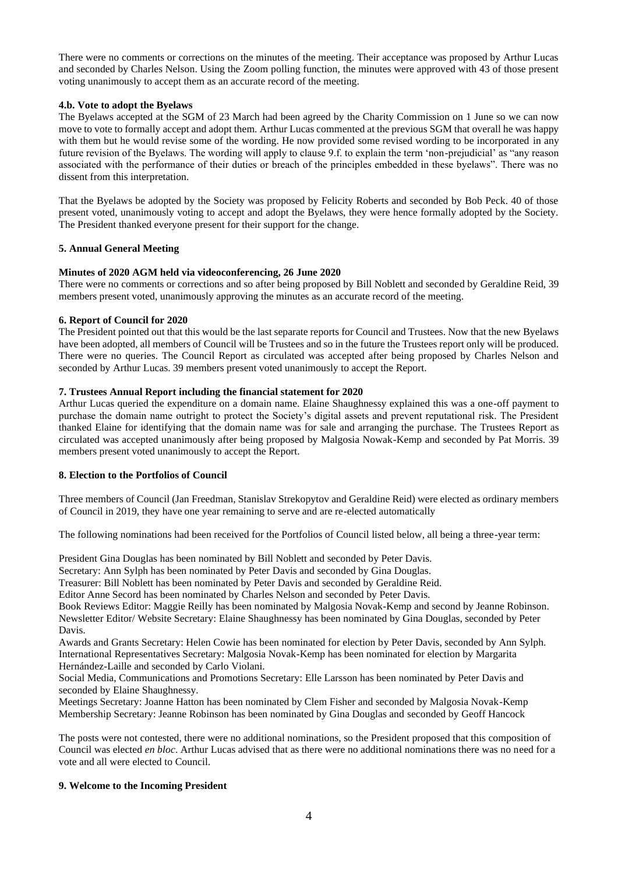There were no comments or corrections on the minutes of the meeting. Their acceptance was proposed by Arthur Lucas and seconded by Charles Nelson. Using the Zoom polling function, the minutes were approved with 43 of those present voting unanimously to accept them as an accurate record of the meeting.

#### **4.b. Vote to adopt the Byelaws**

The Byelaws accepted at the SGM of 23 March had been agreed by the Charity Commission on 1 June so we can now move to vote to formally accept and adopt them. Arthur Lucas commented at the previous SGM that overall he was happy with them but he would revise some of the wording. He now provided some revised wording to be incorporated in any future revision of the Byelaws. The wording will apply to clause 9.f. to explain the term 'non-prejudicial' as "any reason associated with the performance of their duties or breach of the principles embedded in these byelaws". There was no dissent from this interpretation.

That the Byelaws be adopted by the Society was proposed by Felicity Roberts and seconded by Bob Peck. 40 of those present voted, unanimously voting to accept and adopt the Byelaws, they were hence formally adopted by the Society. The President thanked everyone present for their support for the change.

#### **5. Annual General Meeting**

#### **Minutes of 2020 AGM held via videoconferencing, 26 June 2020**

There were no comments or corrections and so after being proposed by Bill Noblett and seconded by Geraldine Reid, 39 members present voted, unanimously approving the minutes as an accurate record of the meeting.

#### **6. Report of Council for 2020**

The President pointed out that this would be the last separate reports for Council and Trustees. Now that the new Byelaws have been adopted, all members of Council will be Trustees and so in the future the Trustees report only will be produced. There were no queries. The Council Report as circulated was accepted after being proposed by Charles Nelson and seconded by Arthur Lucas. 39 members present voted unanimously to accept the Report.

#### **7. Trustees Annual Report including the financial statement for 2020**

Arthur Lucas queried the expenditure on a domain name. Elaine Shaughnessy explained this was a one-off payment to purchase the domain name outright to protect the Society's digital assets and prevent reputational risk. The President thanked Elaine for identifying that the domain name was for sale and arranging the purchase. The Trustees Report as circulated was accepted unanimously after being proposed by Malgosia Nowak-Kemp and seconded by Pat Morris. 39 members present voted unanimously to accept the Report.

#### **8. Election to the Portfolios of Council**

Three members of Council (Jan Freedman, Stanislav Strekopytov and Geraldine Reid) were elected as ordinary members of Council in 2019, they have one year remaining to serve and are re-elected automatically

The following nominations had been received for the Portfolios of Council listed below, all being a three-year term:

President Gina Douglas has been nominated by Bill Noblett and seconded by Peter Davis.

Secretary: Ann Sylph has been nominated by Peter Davis and seconded by Gina Douglas.

Treasurer: Bill Noblett has been nominated by Peter Davis and seconded by Geraldine Reid.

Editor Anne Secord has been nominated by Charles Nelson and seconded by Peter Davis.

Book Reviews Editor: Maggie Reilly has been nominated by Malgosia Novak-Kemp and second by Jeanne Robinson. Newsletter Editor/ Website Secretary: Elaine Shaughnessy has been nominated by Gina Douglas, seconded by Peter Davis.

Awards and Grants Secretary: Helen Cowie has been nominated for election by Peter Davis, seconded by Ann Sylph. International Representatives Secretary: Malgosia Novak-Kemp has been nominated for election by Margarita Hernández-Laille and seconded by Carlo Violani.

Social Media, Communications and Promotions Secretary: Elle Larsson has been nominated by Peter Davis and seconded by Elaine Shaughnessy.

Meetings Secretary: Joanne Hatton has been nominated by Clem Fisher and seconded by Malgosia Novak-Kemp Membership Secretary: Jeanne Robinson has been nominated by Gina Douglas and seconded by Geoff Hancock

The posts were not contested, there were no additional nominations, so the President proposed that this composition of Council was elected *en bloc*. Arthur Lucas advised that as there were no additional nominations there was no need for a vote and all were elected to Council.

### **9. Welcome to the Incoming President**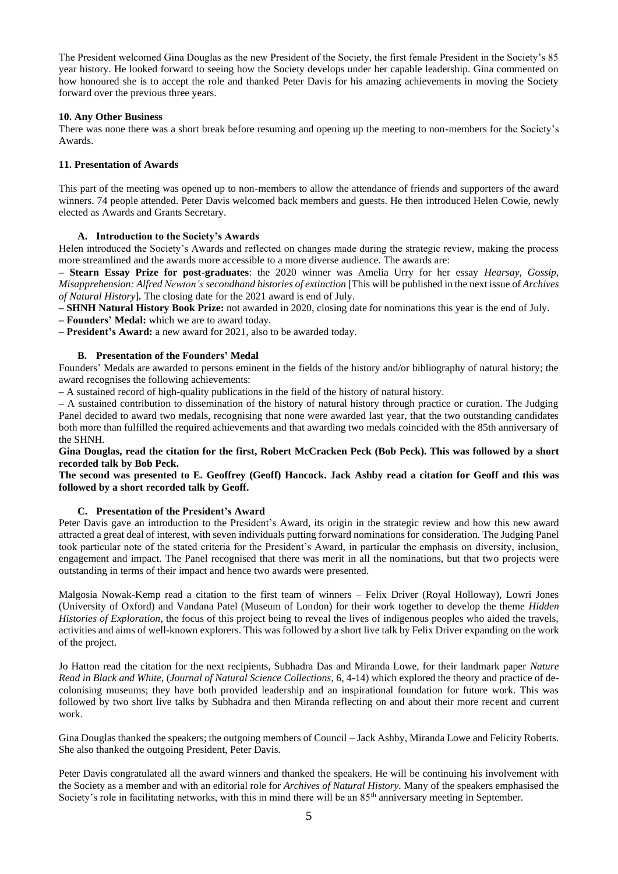The President welcomed Gina Douglas as the new President of the Society, the first female President in the Society's 85 year history. He looked forward to seeing how the Society develops under her capable leadership. Gina commented on how honoured she is to accept the role and thanked Peter Davis for his amazing achievements in moving the Society forward over the previous three years.

#### **10. Any Other Business**

There was none there was a short break before resuming and opening up the meeting to non-members for the Society's Awards.

#### **11. Presentation of Awards**

This part of the meeting was opened up to non-members to allow the attendance of friends and supporters of the award winners. 74 people attended. Peter Davis welcomed back members and guests. He then introduced Helen Cowie, newly elected as Awards and Grants Secretary.

#### **A. Introduction to the Society's Awards**

Helen introduced the Society's Awards and reflected on changes made during the strategic review, making the process more streamlined and the awards more accessible to a more diverse audience. The awards are:

**– Stearn Essay Prize for post-graduates**: the 2020 winner was Amelia Urry for her essay *Hearsay, Gossip, Misapprehension: Alfred Newton's secondhand histories of extinction* [This will be published in the next issue of *Archives of Natural History*]*.* The closing date for the 2021 award is end of July.

**– SHNH Natural History Book Prize:** not awarded in 2020, closing date for nominations this year is the end of July.

**– Founders' Medal:** which we are to award today.

**– President's Award:** a new award for 2021, also to be awarded today.

#### **B. Presentation of the Founders' Medal**

Founders' Medals are awarded to persons eminent in the fields of the history and/or bibliography of natural history; the award recognises the following achievements:

**–** A sustained record of high-quality publications in the field of the history of natural history.

**–** A sustained contribution to dissemination of the history of natural history through practice or curation. The Judging Panel decided to award two medals, recognising that none were awarded last year, that the two outstanding candidates both more than fulfilled the required achievements and that awarding two medals coincided with the 85th anniversary of the SHNH.

#### Gina Douglas, read the citation for the first, Robert McCracken Peck (Bob Peck). This was followed by a short **recorded talk by Bob Peck.**

The second was presented to E. Geoffrey (Geoff) Hancock. Jack Ashby read a citation for Geoff and this was **followed by a short recorded talk by Geoff.**

#### **C. Presentation of the President's Award**

Peter Davis gave an introduction to the President's Award, its origin in the strategic review and how this new award attracted a great deal of interest, with seven individuals putting forward nominations for consideration. The Judging Panel took particular note of the stated criteria for the President's Award, in particular the emphasis on diversity, inclusion, engagement and impact. The Panel recognised that there was merit in all the nominations, but that two projects were outstanding in terms of their impact and hence two awards were presented.

Malgosia Nowak-Kemp read a citation to the first team of winners – Felix Driver (Royal Holloway), Lowri Jones (University of Oxford) and Vandana Patel (Museum of London) for their work together to develop the theme *Hidden Histories of Exploration*, the focus of this project being to reveal the lives of indigenous peoples who aided the travels, activities and aims of well-known explorers. This was followed by a short live talk by Felix Driver expanding on the work of the project.

Jo Hatton read the citation for the next recipients, Subhadra Das and Miranda Lowe, for their landmark paper *Nature Read in Black and White*, (*Journal of Natural Science Collections*, 6, 4-14) which explored the theory and practice of decolonising museums; they have both provided leadership and an inspirational foundation for future work. This was followed by two short live talks by Subhadra and then Miranda reflecting on and about their more recent and current work.

Gina Douglas thanked the speakers; the outgoing members of Council – Jack Ashby, Miranda Lowe and Felicity Roberts. She also thanked the outgoing President, Peter Davis.

Peter Davis congratulated all the award winners and thanked the speakers. He will be continuing his involvement with the Society as a member and with an editorial role for *Archives of Natural History.* Many of the speakers emphasised the Society's role in facilitating networks, with this in mind there will be an 85<sup>th</sup> anniversary meeting in September.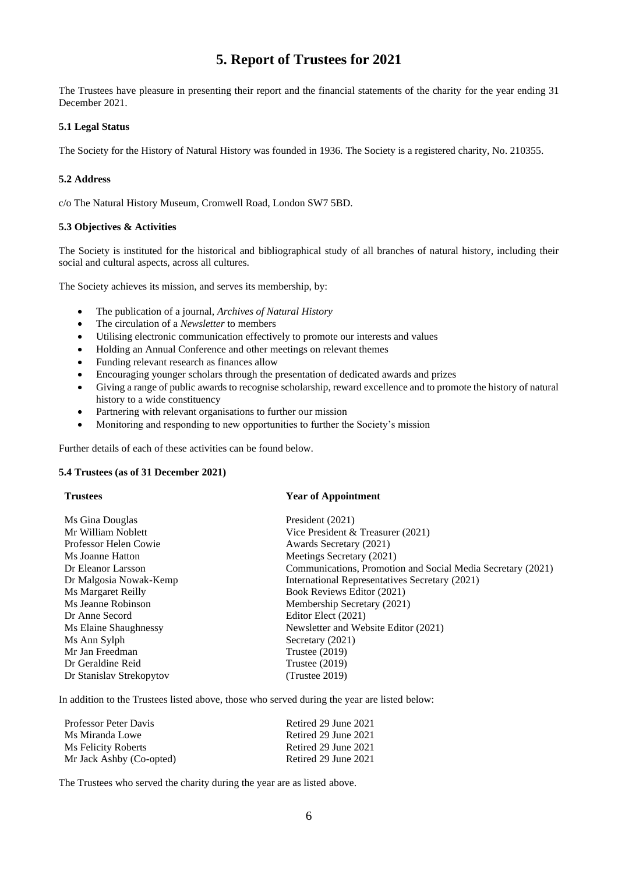## **5. Report of Trustees for 2021**

The Trustees have pleasure in presenting their report and the financial statements of the charity for the year ending 31 December 2021.

#### **5.1 Legal Status**

The Society for the History of Natural History was founded in 1936. The Society is a registered charity, No. 210355.

#### **5.2 Address**

c/o The Natural History Museum, Cromwell Road, London SW7 5BD.

#### **5.3 Objectives & Activities**

The Society is instituted for the historical and bibliographical study of all branches of natural history, including their social and cultural aspects, across all cultures.

The Society achieves its mission, and serves its membership, by:

- The publication of a journal, *Archives of Natural History*
- The circulation of a *Newsletter* to members
- Utilising electronic communication effectively to promote our interests and values
- Holding an Annual Conference and other meetings on relevant themes
- Funding relevant research as finances allow
- Encouraging younger scholars through the presentation of dedicated awards and prizes
- Giving a range of public awards to recognise scholarship, reward excellence and to promote the history of natural history to a wide constituency
- Partnering with relevant organisations to further our mission
- Monitoring and responding to new opportunities to further the Society's mission

Further details of each of these activities can be found below.

#### **5.4 Trustees (as of 31 December 2021)**

#### **Trustees Year of Appointment**

| Ms Gina Douglas          | President (2021)                                            |
|--------------------------|-------------------------------------------------------------|
| Mr William Noblett       | Vice President & Treasurer $(2021)$                         |
| Professor Helen Cowie    | Awards Secretary (2021)                                     |
| Ms Joanne Hatton         | Meetings Secretary (2021)                                   |
| Dr Eleanor Larsson       | Communications, Promotion and Social Media Secretary (2021) |
| Dr Malgosia Nowak-Kemp   | International Representatives Secretary (2021)              |
| Ms Margaret Reilly       | Book Reviews Editor (2021)                                  |
| Ms Jeanne Robinson       | Membership Secretary (2021)                                 |
| Dr Anne Secord           | Editor Elect (2021)                                         |
| Ms Elaine Shaughnessy    | Newsletter and Website Editor (2021)                        |
| Ms Ann Sylph             | Secretary (2021)                                            |
| Mr Jan Freedman          | Trustee $(2019)$                                            |
| Dr Geraldine Reid        | Trustee $(2019)$                                            |
| Dr Stanislav Strekopytov | (Trustee 2019)                                              |

In addition to the Trustees listed above, those who served during the year are listed below:

| Professor Peter Davis    | Retired 29 June 2021 |
|--------------------------|----------------------|
| Ms Miranda Lowe          | Retired 29 June 2021 |
| Ms Felicity Roberts      | Retired 29 June 2021 |
| Mr Jack Ashby (Co-opted) | Retired 29 June 2021 |

The Trustees who served the charity during the year are as listed above.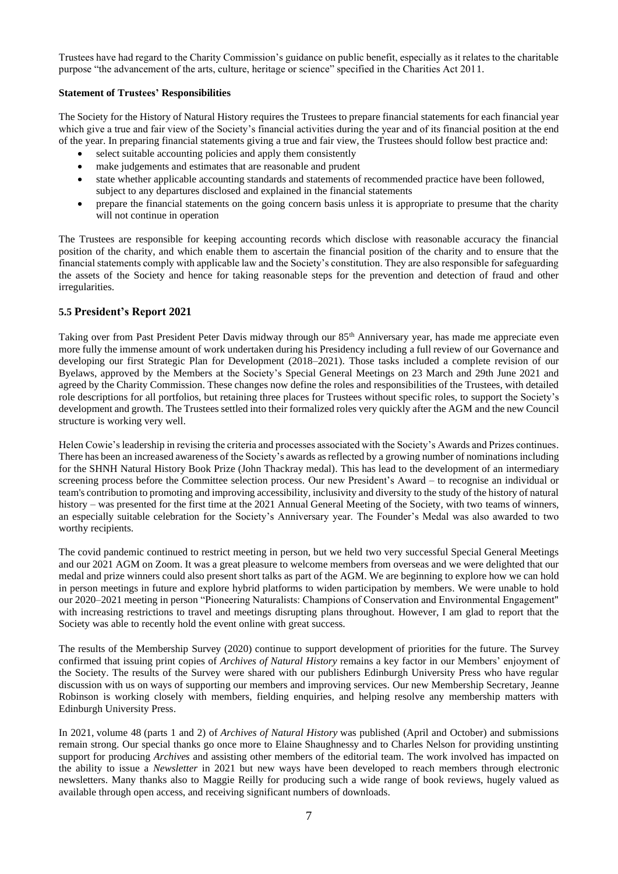Trustees have had regard to the Charity Commission's guidance on public benefit, especially as it relates to the charitable purpose "the advancement of the arts, culture, heritage or science" specified in the Charities Act 2011.

#### **Statement of Trustees' Responsibilities**

The Society for the History of Natural History requires the Trustees to prepare financial statements for each financial year which give a true and fair view of the Society's financial activities during the year and of its financial position at the end of the year. In preparing financial statements giving a true and fair view, the Trustees should follow best practice and:

- select suitable accounting policies and apply them consistently
- make judgements and estimates that are reasonable and prudent
- state whether applicable accounting standards and statements of recommended practice have been followed, subject to any departures disclosed and explained in the financial statements
- prepare the financial statements on the going concern basis unless it is appropriate to presume that the charity will not continue in operation

The Trustees are responsible for keeping accounting records which disclose with reasonable accuracy the financial position of the charity, and which enable them to ascertain the financial position of the charity and to ensure that the financial statements comply with applicable law and the Society's constitution. They are also responsible for safeguarding the assets of the Society and hence for taking reasonable steps for the prevention and detection of fraud and other irregularities.

#### **5.5 President's Report 2021**

Taking over from Past President Peter Davis midway through our 85<sup>th</sup> Anniversary year, has made me appreciate even more fully the immense amount of work undertaken during his Presidency including a full review of our Governance and developing our first Strategic Plan for Development (2018–2021). Those tasks included a complete revision of our Byelaws, approved by the Members at the Society's Special General Meetings on 23 March and 29th June 2021 and agreed by the Charity Commission. These changes now define the roles and responsibilities of the Trustees, with detailed role descriptions for all portfolios, but retaining three places for Trustees without specific roles, to support the Society's development and growth. The Trustees settled into their formalized roles very quickly after the AGM and the new Council structure is working very well.

Helen Cowie's leadership in revising the criteria and processes associated with the Society's Awards and Prizes continues. There has been an increased awareness of the Society's awards as reflected by a growing number of nominations including for the SHNH Natural History Book Prize (John Thackray medal). This has lead to the development of an intermediary screening process before the Committee selection process. Our new President's Award – to recognise an individual or team's contribution to promoting and improving accessibility, inclusivity and diversity to the study of the history of natural history – was presented for the first time at the 2021 Annual General Meeting of the Society, with two teams of winners, an especially suitable celebration for the Society's Anniversary year. The Founder's Medal was also awarded to two worthy recipients.

The covid pandemic continued to restrict meeting in person, but we held two very successful Special General Meetings and our 2021 AGM on Zoom. It was a great pleasure to welcome members from overseas and we were delighted that our medal and prize winners could also present short talks as part of the AGM. We are beginning to explore how we can hold in person meetings in future and explore hybrid platforms to widen participation by members. We were unable to hold our 2020–2021 meeting in person "Pioneering Naturalists: Champions of Conservation and Environmental Engagement" with increasing restrictions to travel and meetings disrupting plans throughout. However, I am glad to report that the Society was able to recently hold the event online with great success.

The results of the Membership Survey (2020) continue to support development of priorities for the future. The Survey confirmed that issuing print copies of *Archives of Natural History* remains a key factor in our Members' enjoyment of the Society. The results of the Survey were shared with our publishers Edinburgh University Press who have regular discussion with us on ways of supporting our members and improving services. Our new Membership Secretary, Jeanne Robinson is working closely with members, fielding enquiries, and helping resolve any membership matters with Edinburgh University Press.

In 2021, volume 48 (parts 1 and 2) of *Archives of Natural History* was published (April and October) and submissions remain strong. Our special thanks go once more to Elaine Shaughnessy and to Charles Nelson for providing unstinting support for producing *Archives* and assisting other members of the editorial team. The work involved has impacted on the ability to issue a *Newsletter* in 2021 but new ways have been developed to reach members through electronic newsletters. Many thanks also to Maggie Reilly for producing such a wide range of book reviews, hugely valued as available through open access, and receiving significant numbers of downloads.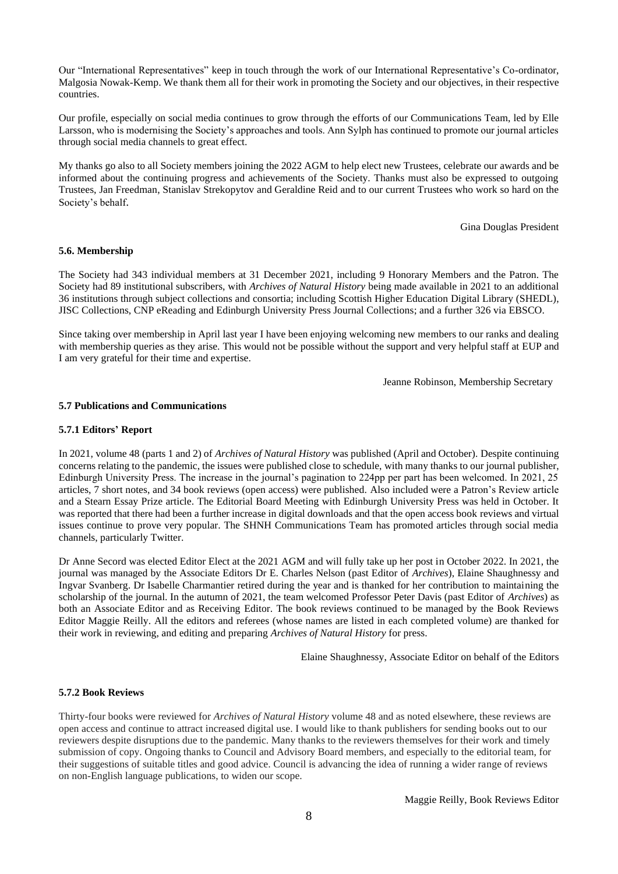Our "International Representatives" keep in touch through the work of our International Representative's Co-ordinator, Malgosia Nowak-Kemp. We thank them all for their work in promoting the Society and our objectives, in their respective countries.

Our profile, especially on social media continues to grow through the efforts of our Communications Team, led by Elle Larsson, who is modernising the Society's approaches and tools. Ann Sylph has continued to promote our journal articles through social media channels to great effect.

My thanks go also to all Society members joining the 2022 AGM to help elect new Trustees, celebrate our awards and be informed about the continuing progress and achievements of the Society. Thanks must also be expressed to outgoing Trustees, Jan Freedman, Stanislav Strekopytov and Geraldine Reid and to our current Trustees who work so hard on the Society's behalf.

Gina Douglas President

#### **5.6. Membership**

The Society had 343 individual members at 31 December 2021, including 9 Honorary Members and the Patron. The Society had 89 institutional subscribers, with *Archives of Natural History* being made available in 2021 to an additional 36 institutions through subject collections and consortia; including Scottish Higher Education Digital Library (SHEDL), JISC Collections, CNP eReading and Edinburgh University Press Journal Collections; and a further 326 via EBSCO.

Since taking over membership in April last year I have been enjoying welcoming new members to our ranks and dealing with membership queries as they arise. This would not be possible without the support and very helpful staff at EUP and I am very grateful for their time and expertise.

Jeanne Robinson, Membership Secretary

#### **5.7 Publications and Communications**

#### **5.7.1 Editors' Report**

In 2021, volume 48 (parts 1 and 2) of *Archives of Natural History* was published (April and October). Despite continuing concerns relating to the pandemic, the issues were published close to schedule, with many thanks to our journal publisher, Edinburgh University Press. The increase in the journal's pagination to 224pp per part has been welcomed. In 2021, 25 articles, 7 short notes, and 34 book reviews (open access) were published. Also included were a Patron's Review article and a Stearn Essay Prize article. The Editorial Board Meeting with Edinburgh University Press was held in October. It was reported that there had been a further increase in digital downloads and that the open access book reviews and virtual issues continue to prove very popular. The SHNH Communications Team has promoted articles through social media channels, particularly Twitter.

Dr Anne Secord was elected Editor Elect at the 2021 AGM and will fully take up her post in October 2022. In 2021, the journal was managed by the Associate Editors Dr E. Charles Nelson (past Editor of *Archives*), Elaine Shaughnessy and Ingvar Svanberg. Dr Isabelle Charmantier retired during the year and is thanked for her contribution to maintaining the scholarship of the journal. In the autumn of 2021, the team welcomed Professor Peter Davis (past Editor of *Archives*) as both an Associate Editor and as Receiving Editor. The book reviews continued to be managed by the Book Reviews Editor Maggie Reilly. All the editors and referees (whose names are listed in each completed volume) are thanked for their work in reviewing, and editing and preparing *Archives of Natural History* for press.

Elaine Shaughnessy, Associate Editor on behalf of the Editors

#### **5.7.2 Book Reviews**

Thirty-four books were reviewed for *Archives of Natural History* volume 48 and as noted elsewhere, these reviews are open access and continue to attract increased digital use. I would like to thank publishers for sending books out to our reviewers despite disruptions due to the pandemic. Many thanks to the reviewers themselves for their work and timely submission of copy. Ongoing thanks to Council and Advisory Board members, and especially to the editorial team, for their suggestions of suitable titles and good advice. Council is advancing the idea of running a wider range of reviews on non-English language publications, to widen our scope.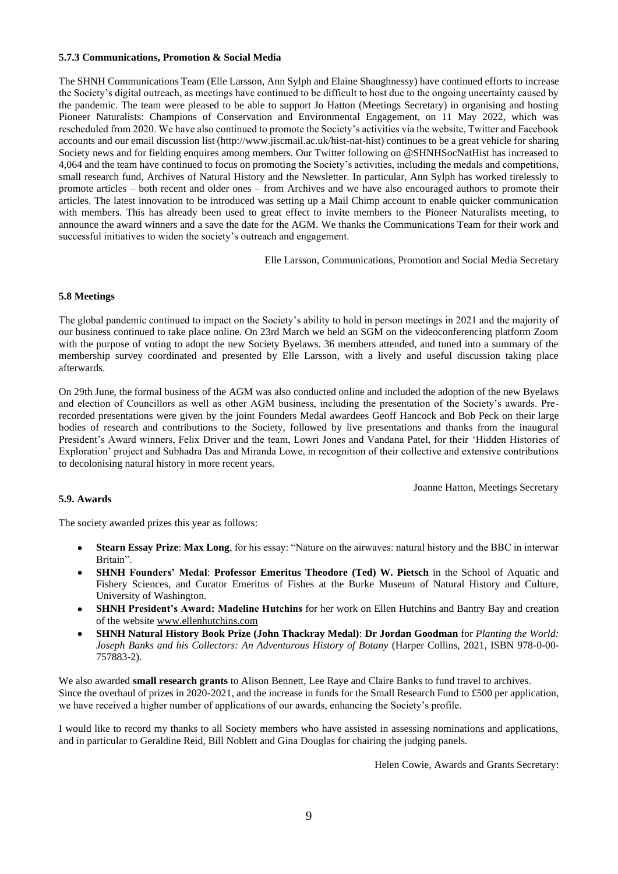#### **5.7.3 Communications, Promotion & Social Media**

The SHNH Communications Team (Elle Larsson, Ann Sylph and Elaine Shaughnessy) have continued efforts to increase the Society's digital outreach, as meetings have continued to be difficult to host due to the ongoing uncertainty caused by the pandemic. The team were pleased to be able to support Jo Hatton (Meetings Secretary) in organising and hosting Pioneer Naturalists: Champions of Conservation and Environmental Engagement, on 11 May 2022, which was rescheduled from 2020. We have also continued to promote the Society's activities via the website, Twitter and Facebook accounts and our email discussion list (http://www.jiscmail.ac.uk/hist-nat-hist) continues to be a great vehicle for sharing Society news and for fielding enquires among members. Our Twitter following on @SHNHSocNatHist has increased to 4,064 and the team have continued to focus on promoting the Society's activities, including the medals and competitions, small research fund, Archives of Natural History and the Newsletter. In particular, Ann Sylph has worked tirelessly to promote articles – both recent and older ones – from Archives and we have also encouraged authors to promote their articles. The latest innovation to be introduced was setting up a Mail Chimp account to enable quicker communication with members. This has already been used to great effect to invite members to the Pioneer Naturalists meeting, to announce the award winners and a save the date for the AGM. We thanks the Communications Team for their work and successful initiatives to widen the society's outreach and engagement.

Elle Larsson, Communications, Promotion and Social Media Secretary

#### **5.8 Meetings**

The global pandemic continued to impact on the Society's ability to hold in person meetings in 2021 and the majority of our business continued to take place online. On 23rd March we held an SGM on the videoconferencing platform Zoom with the purpose of voting to adopt the new Society Byelaws. 36 members attended, and tuned into a summary of the membership survey coordinated and presented by Elle Larsson, with a lively and useful discussion taking place afterwards.

On 29th June, the formal business of the AGM was also conducted online and included the adoption of the new Byelaws and election of Councillors as well as other AGM business, including the presentation of the Society's awards. Prerecorded presentations were given by the joint Founders Medal awardees Geoff Hancock and Bob Peck on their large bodies of research and contributions to the Society, followed by live presentations and thanks from the inaugural President's Award winners, Felix Driver and the team, Lowri Jones and Vandana Patel, for their 'Hidden Histories of Exploration' project and Subhadra Das and Miranda Lowe, in recognition of their collective and extensive contributions to decolonising natural history in more recent years.

Joanne Hatton, Meetings Secretary

#### **5.9. Awards**

The society awarded prizes this year as follows:

- **Stearn Essay Prize**: **Max Long**, for his essay: "Nature on the airwaves: natural history and the BBC in interwar Britain".
- **SHNH Founders' Medal**: **Professor Emeritus Theodore (Ted) W. Pietsch** in the School of Aquatic and Fishery Sciences, and Curator Emeritus of Fishes at the Burke Museum of Natural History and Culture, University of Washington.
- **SHNH President's Award: Madeline Hutchins** for her work on Ellen Hutchins and Bantry Bay and creation of the website www.ellenhutchins.com
- **SHNH Natural History Book Prize (John Thackray Medal)**: **Dr Jordan Goodman** for *Planting the World: Joseph Banks and his Collectors: An Adventurous History of Botany* (Harper Collins, 2021, ISBN 978-0-00- 757883-2).

We also awarded **small research grants** to Alison Bennett, Lee Raye and Claire Banks to fund travel to archives. Since the overhaul of prizes in 2020-2021, and the increase in funds for the Small Research Fund to £500 per application, we have received a higher number of applications of our awards, enhancing the Society's profile.

I would like to record my thanks to all Society members who have assisted in assessing nominations and applications, and in particular to Geraldine Reid, Bill Noblett and Gina Douglas for chairing the judging panels.

Helen Cowie, Awards and Grants Secretary: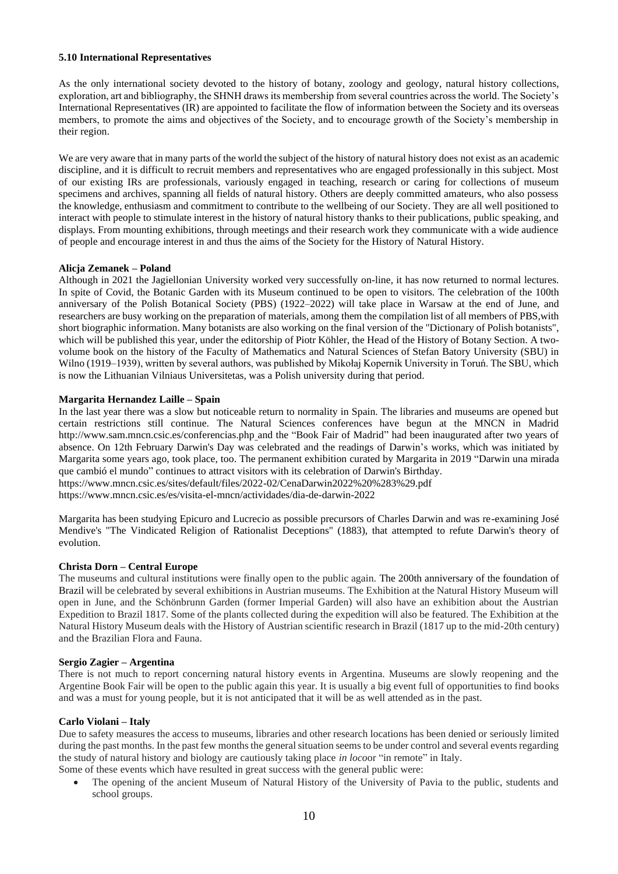#### **5.10 International Representatives**

As the only international society devoted to the history of botany, zoology and geology, natural history collections, exploration, art and bibliography, the SHNH draws its membership from several countries across the world. The Society's International Representatives (IR) are appointed to facilitate the flow of information between the Society and its overseas members, to promote the aims and objectives of the Society, and to encourage growth of the Society's membership in their region.

We are very aware that in many parts of the world the subject of the history of natural history does not exist as an academic discipline, and it is difficult to recruit members and representatives who are engaged professionally in this subject. Most of our existing IRs are professionals, variously engaged in teaching, research or caring for collections of museum specimens and archives, spanning all fields of natural history. Others are deeply committed amateurs, who also possess the knowledge, enthusiasm and commitment to contribute to the wellbeing of our Society. They are all well positioned to interact with people to stimulate interest in the history of natural history thanks to their publications, public speaking, and displays. From mounting exhibitions, through meetings and their research work they communicate with a wide audience of people and encourage interest in and thus the aims of the Society for the History of Natural History.

#### **Alicja Zemanek – Poland**

Although in 2021 the Jagiellonian University worked very successfully on-line, it has now returned to normal lectures. In spite of Covid, the Botanic Garden with its Museum continued to be open to visitors. The celebration of the 100th anniversary of the Polish Botanical Society (PBS) (1922–2022) will take place in Warsaw at the end of June, and researchers are busy working on the preparation of materials, among them the compilation list of all members of PBS,with short biographic information. Many botanists are also working on the final version of the "Dictionary of Polish botanists", which will be published this year, under the editorship of Piotr Köhler, the Head of the History of Botany Section. A twovolume book on the history of the Faculty of Mathematics and Natural Sciences of Stefan Batory University (SBU) in Wilno (1919–1939), written by several authors, was published by Mikołaj Kopernik University in Toruń. The SBU, which is now the Lithuanian Vilniaus Universitetas, was a Polish university during that period.

#### **Margarita Hernandez Laille – Spain**

In the last year there was a slow but noticeable return to normality in Spain. The libraries and museums are opened but certain restrictions still continue. The Natural Sciences conferences have begun at the MNCN in Madrid http://www.sam.mncn.csic.es/conferencias.php and the "Book Fair of Madrid" had been inaugurated after two years of absence. On 12th February Darwin's Day was celebrated and the readings of Darwin's works, which was initiated by Margarita some years ago, took place, too. The permanent exhibition curated by Margarita in 2019 "Darwin una mirada que cambió el mundo" continues to attract visitors with its celebration of Darwin's Birthday. https://www.mncn.csic.es/sites/default/files/2022-02/CenaDarwin2022%20%283%29.pdf

https://www.mncn.csic.es/es/visita-el-mncn/actividades/dia-de-darwin-2022

Margarita has been studying Epicuro and Lucrecio as possible precursors of Charles Darwin and was re-examining José Mendive's "The Vindicated Religion of Rationalist Deceptions" (1883), that attempted to refute Darwin's theory of evolution.

#### **Christa Dorn – Central Europe**

The museums and cultural institutions were finally open to the public again. The 200th anniversary of the foundation of Brazil will be celebrated by several exhibitions in Austrian museums. The Exhibition at the Natural History Museum will open in June, and the Schönbrunn Garden (former Imperial Garden) will also have an exhibition about the Austrian Expedition to Brazil 1817. Some of the plants collected during the expedition will also be featured. The Exhibition at the Natural History Museum deals with the History of Austrian scientific research in Brazil (1817 up to the mid-20th century) and the Brazilian Flora and Fauna.

#### **Sergio Zagier – Argentina**

There is not much to report concerning natural history events in Argentina. Museums are slowly reopening and the Argentine Book Fair will be open to the public again this year. It is usually a big event full of opportunities to find books and was a must for young people, but it is not anticipated that it will be as well attended as in the past.

#### **Carlo Violani – Italy**

Due to safety measures the access to museums, libraries and other research locations has been denied or seriously limited during the past months. In the past few months the general situation seems to be under control and several events regarding the study of natural history and biology are cautiously taking place *in loco*or "in remote" in Italy.

Some of these events which have resulted in great success with the general public were:

• The opening of the ancient Museum of Natural History of the University of Pavia to the public, students and school groups.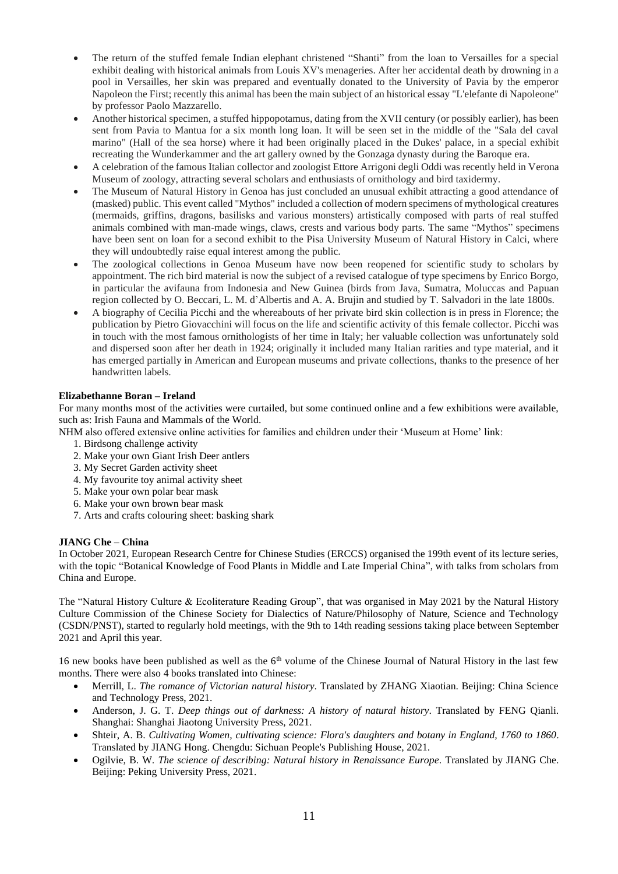- The return of the stuffed female Indian elephant christened "Shanti" from the loan to Versailles for a special exhibit dealing with historical animals from Louis XV's menageries. After her accidental death by drowning in a pool in Versailles, her skin was prepared and eventually donated to the University of Pavia by the emperor Napoleon the First; recently this animal has been the main subject of an historical essay "L'elefante di Napoleone" by professor Paolo Mazzarello.
- Another historical specimen, a stuffed hippopotamus, dating from the XVII century (or possibly earlier), has been sent from Pavia to Mantua for a six month long loan. It will be seen set in the middle of the "Sala del caval marino" (Hall of the sea horse) where it had been originally placed in the Dukes' palace, in a special exhibit recreating the Wunderkammer and the art gallery owned by the Gonzaga dynasty during the Baroque era.
- A celebration of the famous Italian collector and zoologist Ettore Arrigoni degli Oddi was recently held in Verona Museum of zoology, attracting several scholars and enthusiasts of ornithology and bird taxidermy.
- The Museum of Natural History in Genoa has just concluded an unusual exhibit attracting a good attendance of (masked) public. This event called "Mythos" included a collection of modern specimens of mythological creatures (mermaids, griffins, dragons, basilisks and various monsters) artistically composed with parts of real stuffed animals combined with man-made wings, claws, crests and various body parts. The same "Mythos" specimens have been sent on loan for a second exhibit to the Pisa University Museum of Natural History in Calci, where they will undoubtedly raise equal interest among the public.
- The zoological collections in Genoa Museum have now been reopened for scientific study to scholars by appointment. The rich bird material is now the subject of a revised catalogue of type specimens by Enrico Borgo, in particular the avifauna from Indonesia and New Guinea (birds from Java, Sumatra, Moluccas and Papuan region collected by O. Beccari, L. M. d'Albertis and A. A. Brujin and studied by T. Salvadori in the late 1800s.
- A biography of Cecilia Picchi and the whereabouts of her private bird skin collection is in press in Florence; the publication by Pietro Giovacchini will focus on the life and scientific activity of this female collector. Picchi was in touch with the most famous ornithologists of her time in Italy; her valuable collection was unfortunately sold and dispersed soon after her death in 1924; originally it included many Italian rarities and type material, and it has emerged partially in American and European museums and private collections, thanks to the presence of her handwritten labels.

#### **Elizabethanne Boran – Ireland**

For many months most of the activities were curtailed, but some continued online and a few exhibitions were available, such as: Irish Fauna and Mammals of the World.

NHM also offered extensive online activities for families and children under their 'Museum at Home' link:

- 1. Birdsong challenge activity
- 2. Make your own Giant Irish Deer antlers
- 3. My Secret Garden activity sheet
- 4. My favourite toy animal activity sheet
- 5. Make your own polar bear mask
- 6. Make your own brown bear mask
- 7. Arts and crafts colouring sheet: basking shark

#### **JIANG Che** – **China**

In October 2021, European Research Centre for Chinese Studies (ERCCS) organised the 199th event of its lecture series, with the topic "Botanical Knowledge of Food Plants in Middle and Late Imperial China", with talks from scholars from China and Europe.

The "Natural History Culture & Ecoliterature Reading Group", that was organised in May 2021 by the Natural History Culture Commission of the Chinese Society for Dialectics of Nature/Philosophy of Nature, Science and Technology (CSDN/PNST), started to regularly hold meetings, with the 9th to 14th reading sessions taking place between September 2021 and April this year.

16 new books have been published as well as the 6<sup>th</sup> volume of the Chinese Journal of Natural History in the last few months. There were also 4 books translated into Chinese:

- Merrill, L. *The romance of Victorian natural history*. Translated by ZHANG Xiaotian. Beijing: China Science and Technology Press, 2021.
- Anderson, J. G. T. *Deep things out of darkness: A history of natural history*. Translated by FENG Qianli. Shanghai: Shanghai Jiaotong University Press, 2021.
- Shteir, A. B. *Cultivating Women, cultivating science: Flora's daughters and botany in England, 1760 to 1860*. Translated by JIANG Hong. Chengdu: Sichuan People's Publishing House, 2021.
- Ogilvie, B. W. *The science of describing: Natural history in Renaissance Europe*. Translated by JIANG Che. Beijing: Peking University Press, 2021.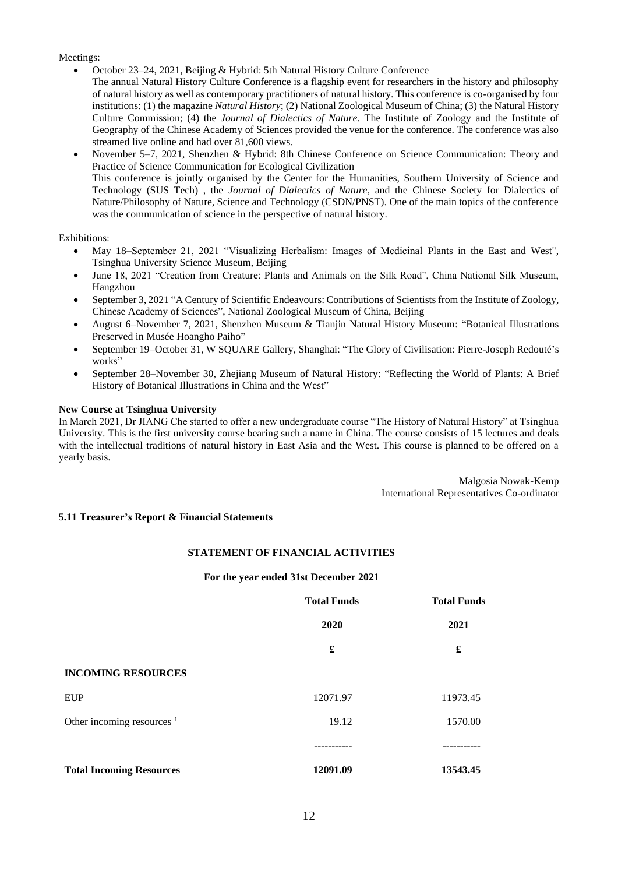#### Meetings:

- October 23–24, 2021, Beijing & Hybrid: 5th Natural History Culture Conference
	- The annual Natural History Culture Conference is a flagship event for researchers in the history and philosophy of natural history as well as contemporary practitioners of natural history. This conference is co-organised by four institutions: (1) the magazine *Natural History*; (2) National Zoological Museum of China; (3) the Natural History Culture Commission; (4) the *Journal of Dialectics of Nature*. The Institute of Zoology and the Institute of Geography of the Chinese Academy of Sciences provided the venue for the conference. The conference was also streamed live online and had over 81,600 views.
	- November 5–7, 2021, Shenzhen & Hybrid: 8th Chinese Conference on Science Communication: Theory and Practice of Science Communication for Ecological Civilization This conference is jointly organised by the Center for the Humanities, Southern University of Science and Technology (SUS Tech) , the *Journal of Dialectics of Nature*, and the Chinese Society for Dialectics of Nature/Philosophy of Nature, Science and Technology (CSDN/PNST). One of the main topics of the conference was the communication of science in the perspective of natural history.

#### Exhibitions:

- May 18–September 21, 2021 "Visualizing Herbalism: Images of Medicinal Plants in the East and West", Tsinghua University Science Museum, Beijing
- June 18, 2021 "Creation from Creature: Plants and Animals on the Silk Road", China National Silk Museum, Hangzhou
- September 3, 2021 "A Century of Scientific Endeavours: Contributions of Scientists from the Institute of Zoology, Chinese Academy of Sciences", National Zoological Museum of China, Beijing
- August 6–November 7, 2021, Shenzhen Museum & Tianjin Natural History Museum: "Botanical Illustrations Preserved in Musée Hoangho Paiho"
- September 19–October 31, W SQUARE Gallery, Shanghai: "The Glory of Civilisation: Pierre-Joseph Redouté's works"
- September 28–November 30, Zhejiang Museum of Natural History: "Reflecting the World of Plants: A Brief History of Botanical Illustrations in China and the West"

#### **New Course at Tsinghua University**

In March 2021, Dr JIANG Che started to offer a new undergraduate course "The History of Natural History" at Tsinghua University. This is the first university course bearing such a name in China. The course consists of 15 lectures and deals with the intellectual traditions of natural history in East Asia and the West. This course is planned to be offered on a yearly basis.

> Malgosia Nowak-Kemp International Representatives Co-ordinator

#### **5.11 Treasurer's Report & Financial Statements**

#### **STATEMENT OF FINANCIAL ACTIVITIES**

#### **For the year ended 31st December 2021**

|                                       | <b>Total Funds</b> | <b>Total Funds</b> |
|---------------------------------------|--------------------|--------------------|
|                                       | 2020               | 2021               |
|                                       | £                  | £                  |
| <b>INCOMING RESOURCES</b>             |                    |                    |
| <b>EUP</b>                            | 12071.97           | 11973.45           |
| Other incoming resources <sup>1</sup> | 19.12              | 1570.00            |
|                                       |                    |                    |
| <b>Total Incoming Resources</b>       | 12091.09           | 13543.45           |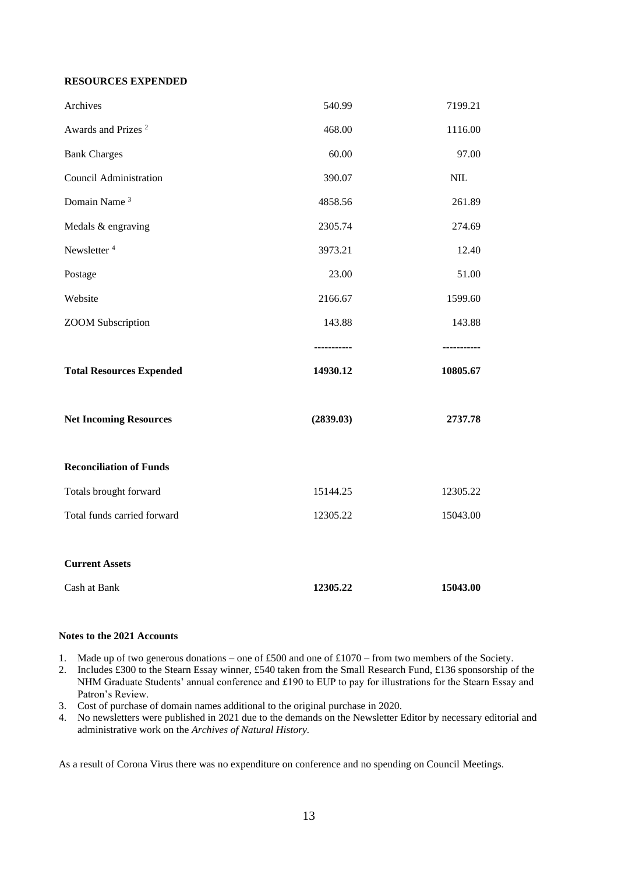#### **RESOURCES EXPENDED**

| Archives                        | 540.99    | 7199.21    |
|---------------------------------|-----------|------------|
| Awards and Prizes <sup>2</sup>  | 468.00    | 1116.00    |
| <b>Bank Charges</b>             | 60.00     | 97.00      |
| <b>Council Administration</b>   | 390.07    | <b>NIL</b> |
| Domain Name <sup>3</sup>        | 4858.56   | 261.89     |
| Medals & engraving              | 2305.74   | 274.69     |
| Newsletter <sup>4</sup>         | 3973.21   | 12.40      |
| Postage                         | 23.00     | 51.00      |
| Website                         | 2166.67   | 1599.60    |
| <b>ZOOM</b> Subscription        | 143.88    | 143.88     |
|                                 |           |            |
| <b>Total Resources Expended</b> | 14930.12  | 10805.67   |
| <b>Net Incoming Resources</b>   | (2839.03) | 2737.78    |
| <b>Reconciliation of Funds</b>  |           |            |
| Totals brought forward          | 15144.25  | 12305.22   |
| Total funds carried forward     | 12305.22  | 15043.00   |
| <b>Current Assets</b>           |           |            |
|                                 |           |            |

#### **Notes to the 2021 Accounts**

- 1. Made up of two generous donations one of £500 and one of £1070 from two members of the Society.
- 2. Includes £300 to the Stearn Essay winner, £540 taken from the Small Research Fund, £136 sponsorship of the NHM Graduate Students' annual conference and £190 to EUP to pay for illustrations for the Stearn Essay and Patron's Review.
- 3. Cost of purchase of domain names additional to the original purchase in 2020.
- 4. No newsletters were published in 2021 due to the demands on the Newsletter Editor by necessary editorial and administrative work on the *Archives of Natural History.*

As a result of Corona Virus there was no expenditure on conference and no spending on Council Meetings.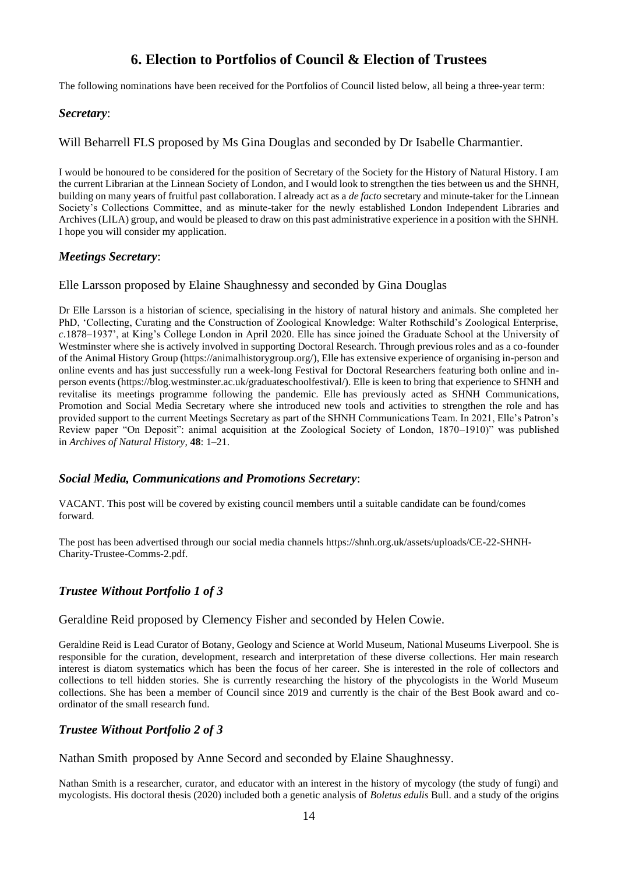## **6. Election to Portfolios of Council & Election of Trustees**

The following nominations have been received for the Portfolios of Council listed below, all being a three-year term:

### *Secretary*:

Will Beharrell FLS proposed by Ms Gina Douglas and seconded by Dr Isabelle Charmantier.

I would be honoured to be considered for the position of Secretary of the Society for the History of Natural History. I am the current Librarian at the Linnean Society of London, and I would look to strengthen the ties between us and the SHNH, building on many years of fruitful past collaboration. I already act as a *de facto* secretary and minute-taker for the Linnean Society's Collections Committee, and as minute-taker for the newly established London Independent Libraries and Archives (LILA) group, and would be pleased to draw on this past administrative experience in a position with the SHNH. I hope you will consider my application.

### *Meetings Secretary*:

### Elle Larsson proposed by Elaine Shaughnessy and seconded by Gina Douglas

Dr Elle Larsson is a historian of science, specialising in the history of natural history and animals. She completed her PhD, 'Collecting, Curating and the Construction of Zoological Knowledge: Walter Rothschild's Zoological Enterprise, *c*.1878–1937', at King's College London in April 2020. Elle has since joined the Graduate School at the University of Westminster where she is actively involved in supporting Doctoral Research. Through previous roles and as a co-founder of the Animal History Group (https://animalhistorygroup.org/), Elle has extensive experience of organising in-person and online events and has just successfully run a week-long Festival for Doctoral Researchers featuring both online and inperson events (https://blog.westminster.ac.uk/graduateschoolfestival/). Elle is keen to bring that experience to SHNH and revitalise its meetings programme following the pandemic. Elle has previously acted as SHNH Communications, Promotion and Social Media Secretary where she introduced new tools and activities to strengthen the role and has provided support to the current Meetings Secretary as part of the SHNH Communications Team. In 2021, Elle's Patron's Review paper "On Deposit": animal acquisition at the Zoological Society of London, 1870–1910)" was published in *Archives of Natural History*, **48**: 1–21.

## *Social Media, Communications and Promotions Secretary*:

VACANT. This post will be covered by existing council members until a suitable candidate can be found/comes forward.

The post has been advertised through our social media channels https://shnh.org.uk/assets/uploads/CE-22-SHNH-Charity-Trustee-Comms-2.pdf.

## *Trustee Without Portfolio 1 of 3*

Geraldine Reid proposed by Clemency Fisher and seconded by Helen Cowie.

Geraldine Reid is Lead Curator of Botany, Geology and Science at World Museum, National Museums Liverpool. She is responsible for the curation, development, research and interpretation of these diverse collections. Her main research interest is diatom systematics which has been the focus of her career. She is interested in the role of collectors and collections to tell hidden stories. She is currently researching the history of the phycologists in the World Museum collections. She has been a member of Council since 2019 and currently is the chair of the Best Book award and coordinator of the small research fund.

## *Trustee Without Portfolio 2 of 3*

Nathan Smith proposed by Anne Secord and seconded by Elaine Shaughnessy.

Nathan Smith is a researcher, curator, and educator with an interest in the history of mycology (the study of fungi) and mycologists. His doctoral thesis (2020) included both a genetic analysis of *Boletus edulis* Bull. and a study of the origins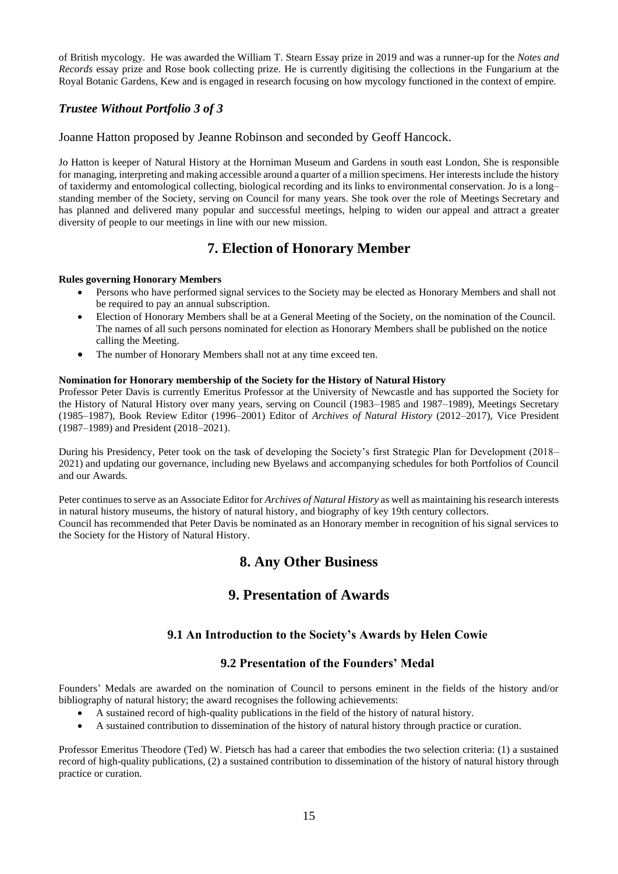of British mycology. He was awarded the William T. Stearn Essay prize in 2019 and was a runner-up for the *Notes and Records* essay prize and Rose book collecting prize. He is currently digitising the collections in the Fungarium at the Royal Botanic Gardens, Kew and is engaged in research focusing on how mycology functioned in the context of empire.

## *Trustee Without Portfolio 3 of 3*

Joanne Hatton proposed by Jeanne Robinson and seconded by Geoff Hancock.

Jo Hatton is keeper of Natural History at the Horniman Museum and Gardens in south east London, She is responsible for managing, interpreting and making accessible around a quarter of a million specimens. Her interestsinclude the history of taxidermy and entomological collecting, biological recording and its links to environmental conservation. Jo is a long– standing member of the Society, serving on Council for many years. She took over the role of Meetings Secretary and has planned and delivered many popular and successful meetings, helping to widen our appeal and attract a greater diversity of people to our meetings in line with our new mission.

## **7. Election of Honorary Member**

#### **Rules governing Honorary Members**

- Persons who have performed signal services to the Society may be elected as Honorary Members and shall not be required to pay an annual subscription.
- Election of Honorary Members shall be at a General Meeting of the Society, on the nomination of the Council. The names of all such persons nominated for election as Honorary Members shall be published on the notice calling the Meeting.
- The number of Honorary Members shall not at any time exceed ten.

#### **Nomination for Honorary membership of the Society for the History of Natural History**

Professor Peter Davis is currently Emeritus Professor at the University of Newcastle and has supported the Society for the History of Natural History over many years, serving on Council (1983–1985 and 1987–1989), Meetings Secretary (1985–1987), Book Review Editor (1996–2001) Editor of *Archives of Natural History* (2012–2017), Vice President (1987–1989) and President (2018–2021).

During his Presidency, Peter took on the task of developing the Society's first Strategic Plan for Development (2018– 2021) and updating our governance, including new Byelaws and accompanying schedules for both Portfolios of Council and our Awards.

Peter continues to serve as an Associate Editor for *Archives of Natural History* as well as maintaining his research interests in natural history museums, the history of natural history, and biography of key 19th century collectors. Council has recommended that Peter Davis be nominated as an Honorary member in recognition of his signal services to the Society for the History of Natural History.

## **8. Any Other Business**

## **9. Presentation of Awards**

### **9.1 An Introduction to the Society's Awards by Helen Cowie**

### **9.2 Presentation of the Founders' Medal**

Founders' Medals are awarded on the nomination of Council to persons eminent in the fields of the history and/or bibliography of natural history; the award recognises the following achievements:

- A sustained record of high-quality publications in the field of the history of natural history.
- A sustained contribution to dissemination of the history of natural history through practice or curation.

Professor Emeritus Theodore (Ted) W. Pietsch has had a career that embodies the two selection criteria: (1) a sustained record of high-quality publications, (2) a sustained contribution to dissemination of the history of natural history through practice or curation.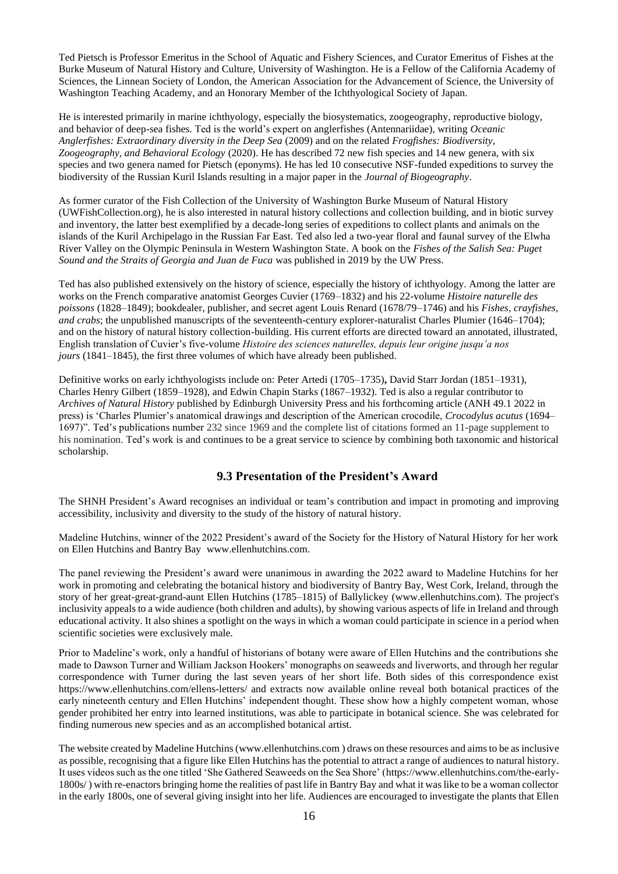Ted Pietsch is Professor Emeritus in the School of Aquatic and Fishery Sciences, and Curator Emeritus of Fishes at the Burke Museum of Natural History and Culture, University of Washington. He is a Fellow of the California Academy of Sciences, the Linnean Society of London, the American Association for the Advancement of Science, the University of Washington Teaching Academy, and an Honorary Member of the Ichthyological Society of Japan.

He is interested primarily in marine ichthyology, especially the biosystematics, zoogeography, reproductive biology, and behavior of deep-sea fishes. Ted is the world's expert on anglerfishes (Antennariidae), writing *Oceanic Anglerfishes: Extraordinary diversity in the Deep Sea* (2009) and on the related *Frogfishes: Biodiversity, Zoogeography, and Behavioral Ecology* (2020). He has described 72 new fish species and 14 new genera, with six species and two genera named for Pietsch (eponyms). He has led 10 consecutive NSF-funded expeditions to survey the biodiversity of the Russian Kuril Islands resulting in a major paper in the *Journal of Biogeography*.

As former curator of the Fish Collection of the University of Washington Burke Museum of Natural History (UWFishCollection.org), he is also interested in natural history collections and collection building, and in biotic survey and inventory, the latter best exemplified by a decade-long series of expeditions to collect plants and animals on the islands of the Kuril Archipelago in the Russian Far East. Ted also led a two-year floral and faunal survey of the Elwha River Valley on the Olympic Peninsula in Western Washington State. A book on the *Fishes of the Salish Sea: Puget Sound and the Straits of Georgia and Juan de Fuca* was published in 2019 by the UW Press.

Ted has also published extensively on the history of science, especially the history of ichthyology. Among the latter are works on the French comparative anatomist Georges Cuvier (1769–1832) and his 22-volume *Histoire naturelle des poissons* (1828–1849); bookdealer, publisher, and secret agent Louis Renard (1678/79–1746) and his *Fishes, crayfishes, and crabs*; the unpublished manuscripts of the seventeenth-century explorer-naturalist Charles Plumier (1646–1704); and on the history of natural history collection-building. His current efforts are directed toward an annotated, illustrated, English translation of Cuvier's five-volume *Histoire des sciences naturelles, depuis leur origine jusqu'a nos jours* (1841–1845), the first three volumes of which have already been published.

Definitive works on early ichthyologists include on: Peter Artedi (1705–1735)**,** David Starr Jordan (1851–1931), Charles Henry Gilbert (1859–1928), and Edwin Chapin Starks (1867–1932). Ted is also a regular contributor to *Archives of Natural History* published by Edinburgh University Press and his forthcoming article (ANH 49.1 2022 in press) is 'Charles Plumier's anatomical drawings and description of the American crocodile, *Crocodylus acutus* (1694– 1697)". Ted's publications number 232 since 1969 and the complete list of citations formed an 11-page supplement to his nomination. Ted's work is and continues to be a great service to science by combining both taxonomic and historical scholarship.

## **9.3 Presentation of the President's Award**

The SHNH President's Award recognises an individual or team's contribution and impact in promoting and improving accessibility, inclusivity and diversity to the study of the history of natural history.

Madeline Hutchins, winner of the 2022 President's award of the Society for the History of Natural History for her work on Ellen Hutchins and Bantry Bay www.ellenhutchins.com.

The panel reviewing the President's award were unanimous in awarding the 2022 award to Madeline Hutchins for her work in promoting and celebrating the botanical history and biodiversity of Bantry Bay, West Cork, Ireland, through the story of her great-great-grand-aunt Ellen Hutchins (1785–1815) of Ballylickey (www.ellenhutchins.com). The project's inclusivity appeals to a wide audience (both children and adults), by showing various aspects of life in Ireland and through educational activity. It also shines a spotlight on the ways in which a woman could participate in science in a period when scientific societies were exclusively male.

Prior to Madeline's work, only a handful of historians of botany were aware of Ellen Hutchins and the contributions she made to Dawson Turner and William Jackson Hookers' monographs on seaweeds and liverworts, and through her regular correspondence with Turner during the last seven years of her short life. Both sides of this correspondence exist https://www.ellenhutchins.com/ellens-letters/ and extracts now available online reveal both botanical practices of the early nineteenth century and Ellen Hutchins' independent thought. These show how a highly competent woman, whose gender prohibited her entry into learned institutions, was able to participate in botanical science. She was celebrated for finding numerous new species and as an accomplished botanical artist.

The website created by Madeline Hutchins (www.ellenhutchins.com ) draws on these resources and aims to be as inclusive as possible, recognising that a figure like Ellen Hutchins has the potential to attract a range of audiences to natural history. It uses videos such as the one titled 'She Gathered Seaweeds on the Sea Shore' (https://www.ellenhutchins.com/the-early-1800s/ ) with re-enactors bringing home the realities of past life in Bantry Bay and what it was like to be a woman collector in the early 1800s, one of several giving insight into her life. Audiences are encouraged to investigate the plants that Ellen